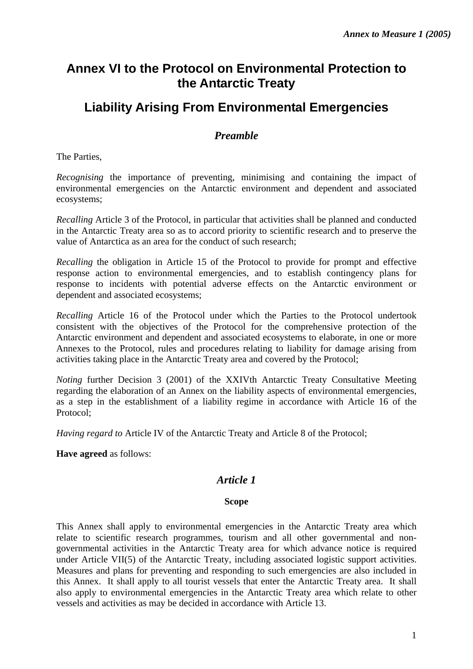# **Annex VI to the Protocol on Environmental Protection to the Antarctic Treaty**

# **Liability Arising From Environmental Emergencies**

### *Preamble*

The Parties,

*Recognising* the importance of preventing, minimising and containing the impact of environmental emergencies on the Antarctic environment and dependent and associated ecosystems;

*Recalling* Article 3 of the Protocol, in particular that activities shall be planned and conducted in the Antarctic Treaty area so as to accord priority to scientific research and to preserve the value of Antarctica as an area for the conduct of such research;

*Recalling* the obligation in Article 15 of the Protocol to provide for prompt and effective response action to environmental emergencies, and to establish contingency plans for response to incidents with potential adverse effects on the Antarctic environment or dependent and associated ecosystems;

*Recalling* Article 16 of the Protocol under which the Parties to the Protocol undertook consistent with the objectives of the Protocol for the comprehensive protection of the Antarctic environment and dependent and associated ecosystems to elaborate, in one or more Annexes to the Protocol, rules and procedures relating to liability for damage arising from activities taking place in the Antarctic Treaty area and covered by the Protocol;

*Noting* further Decision 3 (2001) of the XXIVth Antarctic Treaty Consultative Meeting regarding the elaboration of an Annex on the liability aspects of environmental emergencies, as a step in the establishment of a liability regime in accordance with Article 16 of the Protocol;

*Having regard to* Article IV of the Antarctic Treaty and Article 8 of the Protocol;

**Have agreed** as follows:

### *Article 1*

#### **Scope**

This Annex shall apply to environmental emergencies in the Antarctic Treaty area which relate to scientific research programmes, tourism and all other governmental and nongovernmental activities in the Antarctic Treaty area for which advance notice is required under Article VII(5) of the Antarctic Treaty, including associated logistic support activities. Measures and plans for preventing and responding to such emergencies are also included in this Annex. It shall apply to all tourist vessels that enter the Antarctic Treaty area. It shall also apply to environmental emergencies in the Antarctic Treaty area which relate to other vessels and activities as may be decided in accordance with Article 13.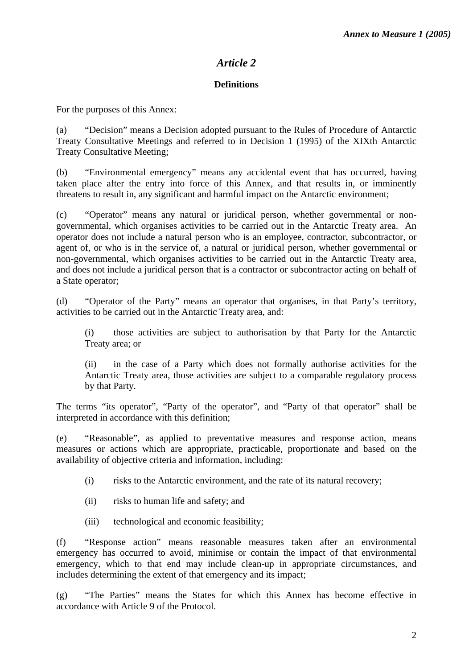# *Article 2*

#### **Definitions**

For the purposes of this Annex:

(a) "Decision" means a Decision adopted pursuant to the Rules of Procedure of Antarctic Treaty Consultative Meetings and referred to in Decision 1 (1995) of the XIXth Antarctic Treaty Consultative Meeting;

(b) "Environmental emergency" means any accidental event that has occurred, having taken place after the entry into force of this Annex, and that results in, or imminently threatens to result in, any significant and harmful impact on the Antarctic environment;

(c) "Operator" means any natural or juridical person, whether governmental or nongovernmental, which organises activities to be carried out in the Antarctic Treaty area. An operator does not include a natural person who is an employee, contractor, subcontractor, or agent of, or who is in the service of, a natural or juridical person, whether governmental or non-governmental, which organises activities to be carried out in the Antarctic Treaty area, and does not include a juridical person that is a contractor or subcontractor acting on behalf of a State operator;

(d) "Operator of the Party" means an operator that organises, in that Party's territory, activities to be carried out in the Antarctic Treaty area, and:

(i) those activities are subject to authorisation by that Party for the Antarctic Treaty area; or

(ii) in the case of a Party which does not formally authorise activities for the Antarctic Treaty area, those activities are subject to a comparable regulatory process by that Party.

The terms "its operator", "Party of the operator", and "Party of that operator" shall be interpreted in accordance with this definition;

(e) "Reasonable", as applied to preventative measures and response action, means measures or actions which are appropriate, practicable, proportionate and based on the availability of objective criteria and information, including:

- (i) risks to the Antarctic environment, and the rate of its natural recovery;
- (ii) risks to human life and safety; and
- (iii) technological and economic feasibility;

(f) "Response action" means reasonable measures taken after an environmental emergency has occurred to avoid, minimise or contain the impact of that environmental emergency, which to that end may include clean-up in appropriate circumstances, and includes determining the extent of that emergency and its impact;

(g) "The Parties" means the States for which this Annex has become effective in accordance with Article 9 of the Protocol.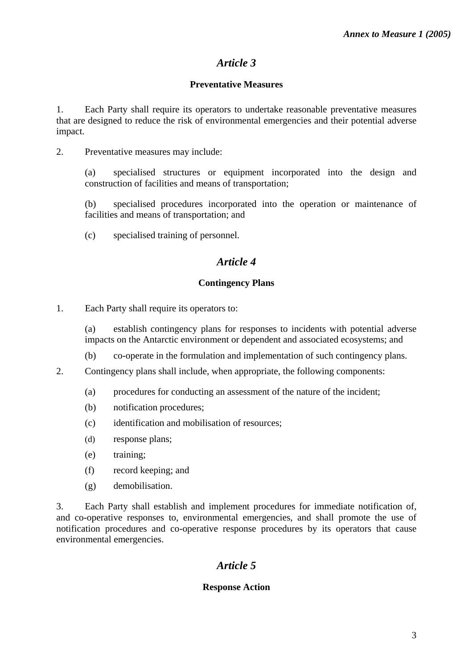# *Article 3*

### **Preventative Measures**

1. Each Party shall require its operators to undertake reasonable preventative measures that are designed to reduce the risk of environmental emergencies and their potential adverse impact.

2. Preventative measures may include:

(a) specialised structures or equipment incorporated into the design and construction of facilities and means of transportation;

(b) specialised procedures incorporated into the operation or maintenance of facilities and means of transportation; and

(c) specialised training of personnel.

### *Article 4*

### **Contingency Plans**

1. Each Party shall require its operators to:

(a) establish contingency plans for responses to incidents with potential adverse impacts on the Antarctic environment or dependent and associated ecosystems; and

- (b) co-operate in the formulation and implementation of such contingency plans.
- 2. Contingency plans shall include, when appropriate, the following components:
	- (a) procedures for conducting an assessment of the nature of the incident;
	- (b) notification procedures;
	- (c) identification and mobilisation of resources;
	- (d) response plans;
	- (e) training;
	- (f) record keeping; and
	- (g) demobilisation.

3. Each Party shall establish and implement procedures for immediate notification of, and co-operative responses to, environmental emergencies, and shall promote the use of notification procedures and co-operative response procedures by its operators that cause environmental emergencies.

# *Article 5*

#### **Response Action**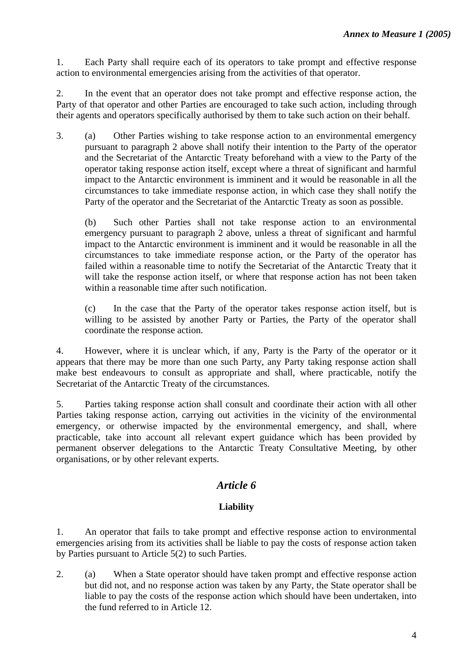1. Each Party shall require each of its operators to take prompt and effective response action to environmental emergencies arising from the activities of that operator.

2. In the event that an operator does not take prompt and effective response action, the Party of that operator and other Parties are encouraged to take such action, including through their agents and operators specifically authorised by them to take such action on their behalf.

3. (a) Other Parties wishing to take response action to an environmental emergency pursuant to paragraph 2 above shall notify their intention to the Party of the operator and the Secretariat of the Antarctic Treaty beforehand with a view to the Party of the operator taking response action itself, except where a threat of significant and harmful impact to the Antarctic environment is imminent and it would be reasonable in all the circumstances to take immediate response action, in which case they shall notify the Party of the operator and the Secretariat of the Antarctic Treaty as soon as possible.

(b) Such other Parties shall not take response action to an environmental emergency pursuant to paragraph 2 above, unless a threat of significant and harmful impact to the Antarctic environment is imminent and it would be reasonable in all the circumstances to take immediate response action, or the Party of the operator has failed within a reasonable time to notify the Secretariat of the Antarctic Treaty that it will take the response action itself, or where that response action has not been taken within a reasonable time after such notification.

(c) In the case that the Party of the operator takes response action itself, but is willing to be assisted by another Party or Parties, the Party of the operator shall coordinate the response action.

4. However, where it is unclear which, if any, Party is the Party of the operator or it appears that there may be more than one such Party, any Party taking response action shall make best endeavours to consult as appropriate and shall, where practicable, notify the Secretariat of the Antarctic Treaty of the circumstances.

5. Parties taking response action shall consult and coordinate their action with all other Parties taking response action, carrying out activities in the vicinity of the environmental emergency, or otherwise impacted by the environmental emergency, and shall, where practicable, take into account all relevant expert guidance which has been provided by permanent observer delegations to the Antarctic Treaty Consultative Meeting, by other organisations, or by other relevant experts.

### *Article 6*

#### **Liability**

1. An operator that fails to take prompt and effective response action to environmental emergencies arising from its activities shall be liable to pay the costs of response action taken by Parties pursuant to Article 5(2) to such Parties.

2. (a) When a State operator should have taken prompt and effective response action but did not, and no response action was taken by any Party, the State operator shall be liable to pay the costs of the response action which should have been undertaken, into the fund referred to in Article 12.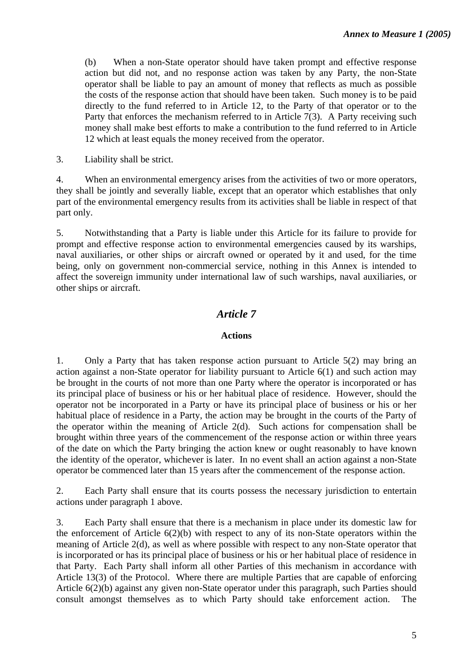(b) When a non-State operator should have taken prompt and effective response action but did not, and no response action was taken by any Party, the non-State operator shall be liable to pay an amount of money that reflects as much as possible the costs of the response action that should have been taken. Such money is to be paid directly to the fund referred to in Article 12, to the Party of that operator or to the Party that enforces the mechanism referred to in Article 7(3). A Party receiving such money shall make best efforts to make a contribution to the fund referred to in Article 12 which at least equals the money received from the operator.

3. Liability shall be strict.

4. When an environmental emergency arises from the activities of two or more operators, they shall be jointly and severally liable, except that an operator which establishes that only part of the environmental emergency results from its activities shall be liable in respect of that part only.

5. Notwithstanding that a Party is liable under this Article for its failure to provide for prompt and effective response action to environmental emergencies caused by its warships, naval auxiliaries, or other ships or aircraft owned or operated by it and used, for the time being, only on government non-commercial service, nothing in this Annex is intended to affect the sovereign immunity under international law of such warships, naval auxiliaries, or other ships or aircraft.

### *Article 7*

#### **Actions**

1. Only a Party that has taken response action pursuant to Article 5(2) may bring an action against a non-State operator for liability pursuant to Article 6(1) and such action may be brought in the courts of not more than one Party where the operator is incorporated or has its principal place of business or his or her habitual place of residence. However, should the operator not be incorporated in a Party or have its principal place of business or his or her habitual place of residence in a Party, the action may be brought in the courts of the Party of the operator within the meaning of Article 2(d). Such actions for compensation shall be brought within three years of the commencement of the response action or within three years of the date on which the Party bringing the action knew or ought reasonably to have known the identity of the operator, whichever is later. In no event shall an action against a non-State operator be commenced later than 15 years after the commencement of the response action.

2. Each Party shall ensure that its courts possess the necessary jurisdiction to entertain actions under paragraph 1 above.

3. Each Party shall ensure that there is a mechanism in place under its domestic law for the enforcement of Article  $6(2)(b)$  with respect to any of its non-State operators within the meaning of Article 2(d), as well as where possible with respect to any non-State operator that is incorporated or has its principal place of business or his or her habitual place of residence in that Party. Each Party shall inform all other Parties of this mechanism in accordance with Article 13(3) of the Protocol. Where there are multiple Parties that are capable of enforcing Article 6(2)(b) against any given non-State operator under this paragraph, such Parties should consult amongst themselves as to which Party should take enforcement action. The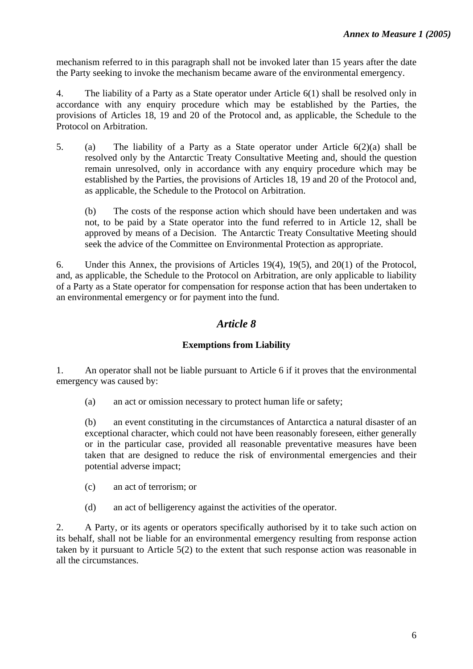mechanism referred to in this paragraph shall not be invoked later than 15 years after the date the Party seeking to invoke the mechanism became aware of the environmental emergency.

4. The liability of a Party as a State operator under Article 6(1) shall be resolved only in accordance with any enquiry procedure which may be established by the Parties, the provisions of Articles 18, 19 and 20 of the Protocol and, as applicable, the Schedule to the Protocol on Arbitration.

5. (a) The liability of a Party as a State operator under Article 6(2)(a) shall be resolved only by the Antarctic Treaty Consultative Meeting and, should the question remain unresolved, only in accordance with any enquiry procedure which may be established by the Parties, the provisions of Articles 18, 19 and 20 of the Protocol and, as applicable, the Schedule to the Protocol on Arbitration.

(b) The costs of the response action which should have been undertaken and was not, to be paid by a State operator into the fund referred to in Article 12, shall be approved by means of a Decision. The Antarctic Treaty Consultative Meeting should seek the advice of the Committee on Environmental Protection as appropriate.

6. Under this Annex, the provisions of Articles 19(4), 19(5), and 20(1) of the Protocol, and, as applicable, the Schedule to the Protocol on Arbitration, are only applicable to liability of a Party as a State operator for compensation for response action that has been undertaken to an environmental emergency or for payment into the fund.

### *Article 8*

#### **Exemptions from Liability**

1. An operator shall not be liable pursuant to Article 6 if it proves that the environmental emergency was caused by:

(a) an act or omission necessary to protect human life or safety;

(b) an event constituting in the circumstances of Antarctica a natural disaster of an exceptional character, which could not have been reasonably foreseen, either generally or in the particular case, provided all reasonable preventative measures have been taken that are designed to reduce the risk of environmental emergencies and their potential adverse impact;

- (c) an act of terrorism; or
- (d) an act of belligerency against the activities of the operator.

2. A Party, or its agents or operators specifically authorised by it to take such action on its behalf, shall not be liable for an environmental emergency resulting from response action taken by it pursuant to Article 5(2) to the extent that such response action was reasonable in all the circumstances.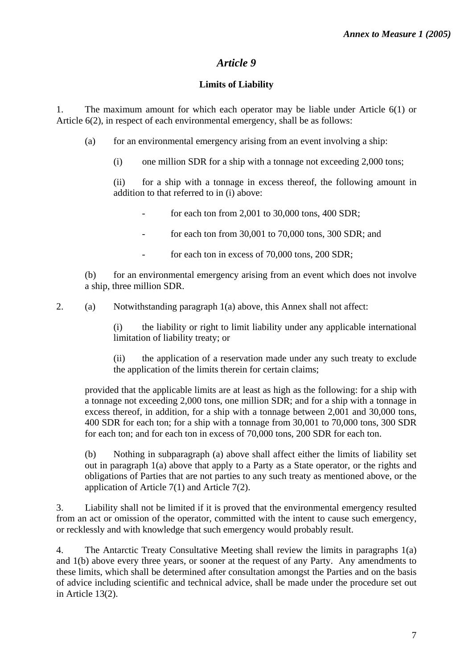## *Article 9*

### **Limits of Liability**

1. The maximum amount for which each operator may be liable under Article 6(1) or Article 6(2), in respect of each environmental emergency, shall be as follows:

- (a) for an environmental emergency arising from an event involving a ship:
	- (i) one million SDR for a ship with a tonnage not exceeding 2,000 tons;

(ii) for a ship with a tonnage in excess thereof, the following amount in addition to that referred to in (i) above:

- for each ton from 2,001 to 30,000 tons, 400 SDR;
- for each ton from 30,001 to 70,000 tons, 300 SDR; and
- for each ton in excess of 70,000 tons, 200 SDR;

(b) for an environmental emergency arising from an event which does not involve a ship, three million SDR.

2. (a) Notwithstanding paragraph 1(a) above, this Annex shall not affect:

(i) the liability or right to limit liability under any applicable international limitation of liability treaty; or

(ii) the application of a reservation made under any such treaty to exclude the application of the limits therein for certain claims;

provided that the applicable limits are at least as high as the following: for a ship with a tonnage not exceeding 2,000 tons, one million SDR; and for a ship with a tonnage in excess thereof, in addition, for a ship with a tonnage between 2,001 and 30,000 tons, 400 SDR for each ton; for a ship with a tonnage from 30,001 to 70,000 tons, 300 SDR for each ton; and for each ton in excess of 70,000 tons, 200 SDR for each ton.

(b) Nothing in subparagraph (a) above shall affect either the limits of liability set out in paragraph 1(a) above that apply to a Party as a State operator, or the rights and obligations of Parties that are not parties to any such treaty as mentioned above, or the application of Article 7(1) and Article 7(2).

3. Liability shall not be limited if it is proved that the environmental emergency resulted from an act or omission of the operator, committed with the intent to cause such emergency, or recklessly and with knowledge that such emergency would probably result.

4. The Antarctic Treaty Consultative Meeting shall review the limits in paragraphs 1(a) and 1(b) above every three years, or sooner at the request of any Party. Any amendments to these limits, which shall be determined after consultation amongst the Parties and on the basis of advice including scientific and technical advice, shall be made under the procedure set out in Article 13(2).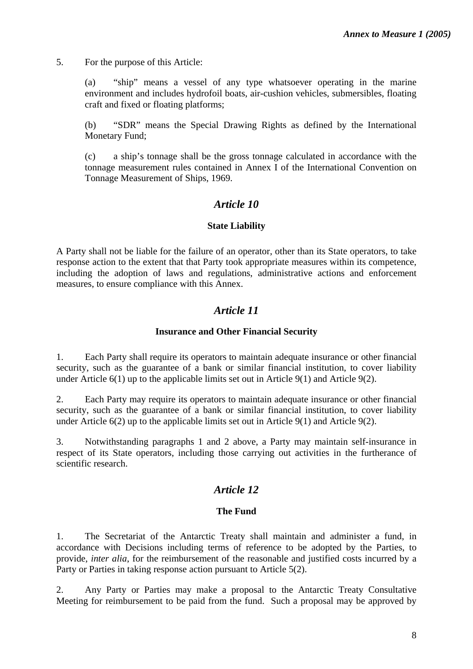5. For the purpose of this Article:

(a) "ship" means a vessel of any type whatsoever operating in the marine environment and includes hydrofoil boats, air-cushion vehicles, submersibles, floating craft and fixed or floating platforms;

(b) "SDR" means the Special Drawing Rights as defined by the International Monetary Fund;

(c) a ship's tonnage shall be the gross tonnage calculated in accordance with the tonnage measurement rules contained in Annex I of the International Convention on Tonnage Measurement of Ships, 1969.

### *Article 10*

#### **State Liability**

A Party shall not be liable for the failure of an operator, other than its State operators, to take response action to the extent that that Party took appropriate measures within its competence, including the adoption of laws and regulations, administrative actions and enforcement measures, to ensure compliance with this Annex.

### *Article 11*

#### **Insurance and Other Financial Security**

1. Each Party shall require its operators to maintain adequate insurance or other financial security, such as the guarantee of a bank or similar financial institution, to cover liability under Article 6(1) up to the applicable limits set out in Article 9(1) and Article 9(2).

2. Each Party may require its operators to maintain adequate insurance or other financial security, such as the guarantee of a bank or similar financial institution, to cover liability under Article 6(2) up to the applicable limits set out in Article 9(1) and Article 9(2).

3. Notwithstanding paragraphs 1 and 2 above, a Party may maintain self-insurance in respect of its State operators, including those carrying out activities in the furtherance of scientific research.

### *Article 12*

#### **The Fund**

1. The Secretariat of the Antarctic Treaty shall maintain and administer a fund, in accordance with Decisions including terms of reference to be adopted by the Parties, to provide, *inter alia*, for the reimbursement of the reasonable and justified costs incurred by a Party or Parties in taking response action pursuant to Article 5(2).

2. Any Party or Parties may make a proposal to the Antarctic Treaty Consultative Meeting for reimbursement to be paid from the fund. Such a proposal may be approved by